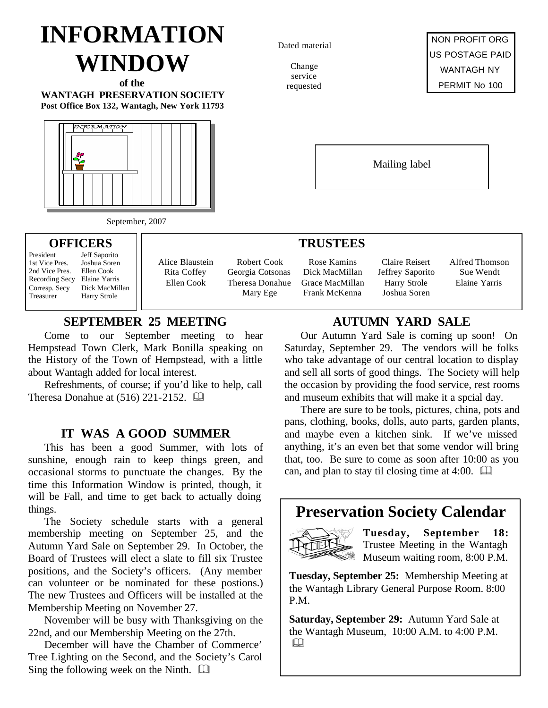# **INFORMATION WINDOW**

**of the WANTAGH PRESERVATION SOCIETY Post Office Box 132, Wantagh, New York 11793**



September, 2007

# **OFFICERS**

President Jeff Saporito 2nd Vice Pres.

- 1st Vice Pres. Joshua Soren<br>2nd Vice Pres. Ellen Cook Recording Secy Elaine Yarris Corresp. Secy Dick MacMillan Treasurer Harry Strole
- Alice Blaustein Rita Coffey Ellen Cook

Robert Cook Georgia Cotsonas Theresa Donahue Mary Ege

# **SEPTEMBER 25 MEETING**

Come to our September meeting to hear Hempstead Town Clerk, Mark Bonilla speaking on the History of the Town of Hempstead, with a little about Wantagh added for local interest.

Refreshments, of course; if you'd like to help, call Theresa Donahue at  $(516)$  221-2152.  $\Box$ 

# **IT WAS A GOOD SUMMER**

This has been a good Summer, with lots of sunshine, enough rain to keep things green, and occasional storms to punctuate the changes. By the time this Information Window is printed, though, it will be Fall, and time to get back to actually doing things.

The Society schedule starts with a general membership meeting on September 25, and the Autumn Yard Sale on September 29. In October, the Board of Trustees will elect a slate to fill six Trustee positions, and the Society's officers. (Any member can volunteer or be nominated for these postions.) The new Trustees and Officers will be installed at the Membership Meeting on November 27.

November will be busy with Thanksgiving on the 22nd, and our Membership Meeting on the 27th.

December will have the Chamber of Commerce' Tree Lighting on the Second, and the Society's Carol Sing the following week on the Ninth.  $\Box$ 

Dated material

Change service requested



Mailing label

#### **TRUSTEES**

Rose Kamins Dick MacMillan Grace MacMillan Frank McKenna

Claire Reisert Jeffrey Saporito Harry Strole Joshua Soren

Alfred Thomson Sue Wendt Elaine Yarris

# **AUTUMN YARD SALE**

Our Autumn Yard Sale is coming up soon! On Saturday, September 29. The vendors will be folks who take advantage of our central location to display and sell all sorts of good things. The Society will help the occasion by providing the food service, rest rooms and museum exhibits that will make it a spcial day.

There are sure to be tools, pictures, china, pots and pans, clothing, books, dolls, auto parts, garden plants, and maybe even a kitchen sink. If we've missed anything, it's an even bet that some vendor will bring that, too. Be sure to come as soon after 10:00 as you can, and plan to stay til closing time at 4:00.  $\Box$ 

# **Preservation Society Calendar**



**Tuesday, September 18:** Trustee Meeting in the Wantagh Museum waiting room, 8:00 P.M.

**Tuesday, September 25:** Membership Meeting at the Wantagh Library General Purpose Room. 8:00 P.M.

**Saturday, September 29:** Autumn Yard Sale at the Wantagh Museum, 10:00 A.M. to 4:00 P.M.  $\Box$